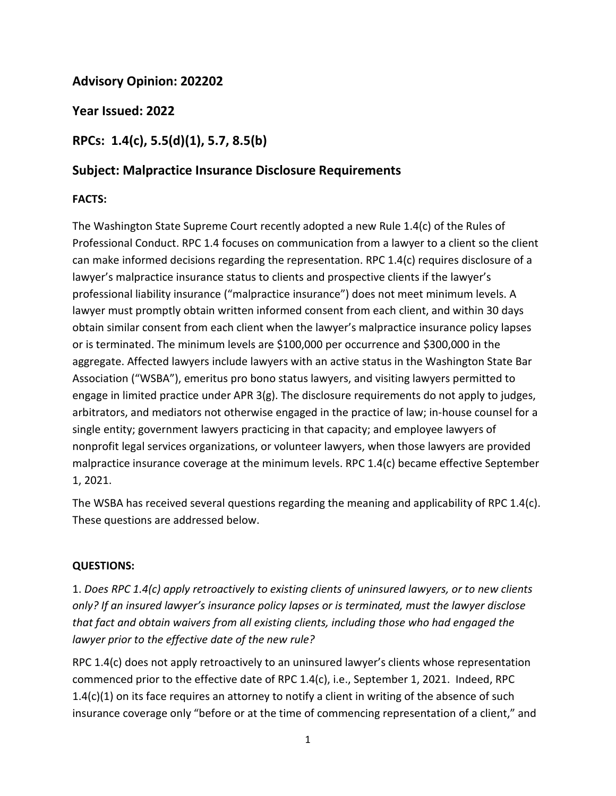## **Advisory Opinion: 202202**

**Year Issued: 2022**

# **RPCs: 1.4(c), 5.5(d)(1), 5.7, 8.5(b)**

### **Subject: Malpractice Insurance Disclosure Requirements**

#### **FACTS:**

The Washington State Supreme Court recently adopted a new Rule 1.4(c) of the Rules of Professional Conduct. RPC 1.4 focuses on communication from a lawyer to a client so the client can make informed decisions regarding the representation. RPC 1.4(c) requires disclosure of a lawyer's malpractice insurance status to clients and prospective clients if the lawyer's professional liability insurance ("malpractice insurance") does not meet minimum levels. A lawyer must promptly obtain written informed consent from each client, and within 30 days obtain similar consent from each client when the lawyer's malpractice insurance policy lapses or is terminated. The minimum levels are \$100,000 per occurrence and \$300,000 in the aggregate. Affected lawyers include lawyers with an active status in the Washington State Bar Association ("WSBA"), emeritus pro bono status lawyers, and visiting lawyers permitted to engage in limited practice under APR 3(g). The disclosure requirements do not apply to judges, arbitrators, and mediators not otherwise engaged in the practice of law; in-house counsel for a single entity; government lawyers practicing in that capacity; and employee lawyers of nonprofit legal services organizations, or volunteer lawyers, when those lawyers are provided malpractice insurance coverage at the minimum levels. RPC 1.4(c) became effective September 1, 2021.

The WSBA has received several questions regarding the meaning and applicability of RPC 1.4(c). These questions are addressed below.

#### **QUESTIONS:**

1. *Does RPC 1.4(c) apply retroactively to existing clients of uninsured lawyers, or to new clients only? If an insured lawyer's insurance policy lapses or is terminated, must the lawyer disclose that fact and obtain waivers from all existing clients, including those who had engaged the lawyer prior to the effective date of the new rule?*

RPC 1.4(c) does not apply retroactively to an uninsured lawyer's clients whose representation commenced prior to the effective date of RPC 1.4(c), i.e., September 1, 2021. Indeed, RPC 1.4(c)(1) on its face requires an attorney to notify a client in writing of the absence of such insurance coverage only "before or at the time of commencing representation of a client," and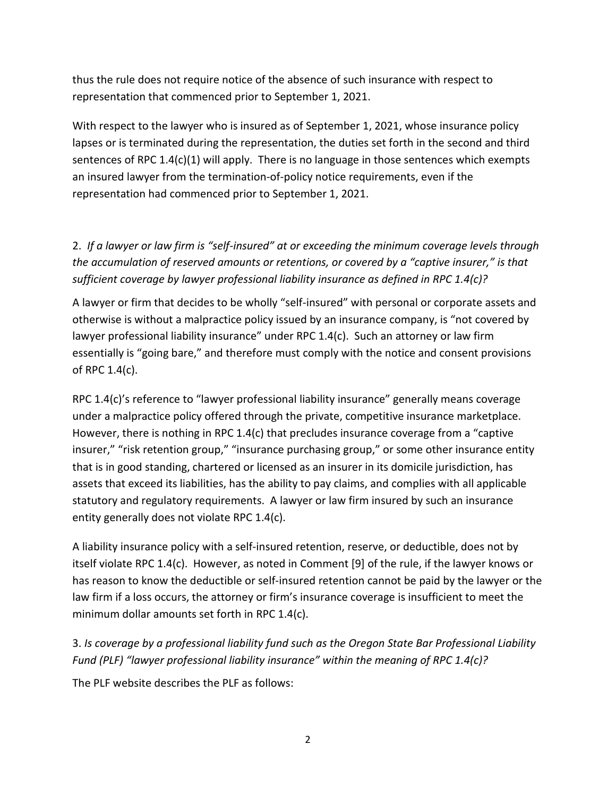thus the rule does not require notice of the absence of such insurance with respect to representation that commenced prior to September 1, 2021.

With respect to the lawyer who is insured as of September 1, 2021, whose insurance policy lapses or is terminated during the representation, the duties set forth in the second and third sentences of RPC 1.4(c)(1) will apply. There is no language in those sentences which exempts an insured lawyer from the termination-of-policy notice requirements, even if the representation had commenced prior to September 1, 2021.

2. *If a lawyer or law firm is "self-insured" at or exceeding the minimum coverage levels through the accumulation of reserved amounts or retentions, or covered by a "captive insurer," is that sufficient coverage by lawyer professional liability insurance as defined in RPC 1.4(c)?*

A lawyer or firm that decides to be wholly "self-insured" with personal or corporate assets and otherwise is without a malpractice policy issued by an insurance company, is "not covered by lawyer professional liability insurance" under RPC 1.4(c). Such an attorney or law firm essentially is "going bare," and therefore must comply with the notice and consent provisions of RPC 1.4(c).

RPC 1.4(c)'s reference to "lawyer professional liability insurance" generally means coverage under a malpractice policy offered through the private, competitive insurance marketplace. However, there is nothing in RPC 1.4(c) that precludes insurance coverage from a "captive insurer," "risk retention group," "insurance purchasing group," or some other insurance entity that is in good standing, chartered or licensed as an insurer in its domicile jurisdiction, has assets that exceed its liabilities, has the ability to pay claims, and complies with all applicable statutory and regulatory requirements. A lawyer or law firm insured by such an insurance entity generally does not violate RPC 1.4(c).

A liability insurance policy with a self-insured retention, reserve, or deductible, does not by itself violate RPC 1.4(c). However, as noted in Comment [9] of the rule, if the lawyer knows or has reason to know the deductible or self-insured retention cannot be paid by the lawyer or the law firm if a loss occurs, the attorney or firm's insurance coverage is insufficient to meet the minimum dollar amounts set forth in RPC 1.4(c).

## 3. *Is coverage by a professional liability fund such as the Oregon State Bar Professional Liability Fund (PLF) "lawyer professional liability insurance" within the meaning of RPC 1.4(c)?*

The PLF website describes the PLF as follows: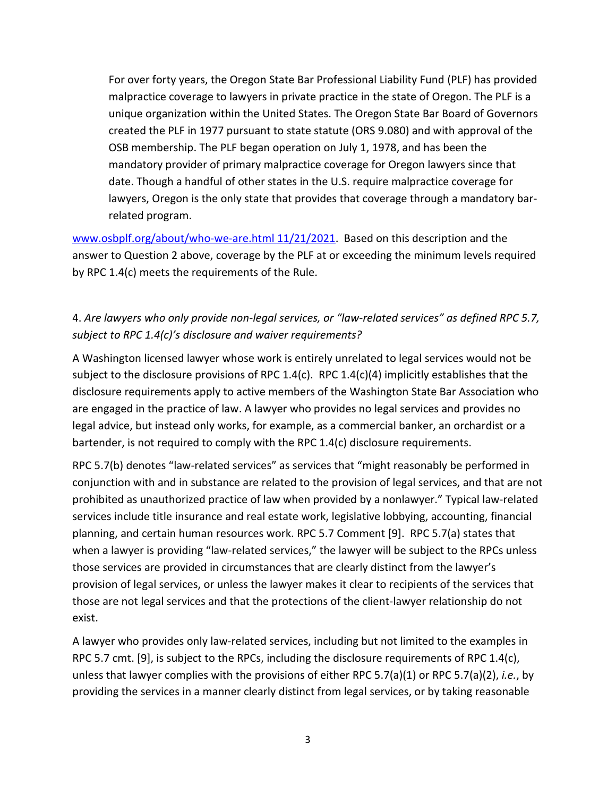For over forty years, the Oregon State Bar Professional Liability Fund (PLF) has provided malpractice coverage to lawyers in private practice in the state of Oregon. The PLF is a unique organization within the United States. The Oregon State Bar Board of Governors created the PLF in 1977 pursuant to state statute (ORS 9.080) and with approval of the OSB membership. The PLF began operation on July 1, 1978, and has been the mandatory provider of primary malpractice coverage for Oregon lawyers since that date. Though a handful of other states in the U.S. require malpractice coverage for lawyers, Oregon is the only state that provides that coverage through a mandatory barrelated program.

[www.osbplf.org/about/who-we-are.html 11/21/2021.](http://www.osbplf.org/about/who-we-are.html%2011/21/2021) Based on this description and the answer to Question 2 above, coverage by the PLF at or exceeding the minimum levels required by RPC 1.4(c) meets the requirements of the Rule.

## 4. *Are lawyers who only provide non-legal services, or "law-related services" as defined RPC 5.7, subject to RPC 1.4(c)'s disclosure and waiver requirements?*

A Washington licensed lawyer whose work is entirely unrelated to legal services would not be subject to the disclosure provisions of RPC 1.4(c). RPC 1.4(c)(4) implicitly establishes that the disclosure requirements apply to active members of the Washington State Bar Association who are engaged in the practice of law. A lawyer who provides no legal services and provides no legal advice, but instead only works, for example, as a commercial banker, an orchardist or a bartender, is not required to comply with the RPC 1.4(c) disclosure requirements.

RPC 5.7(b) denotes "law-related services" as services that "might reasonably be performed in conjunction with and in substance are related to the provision of legal services, and that are not prohibited as unauthorized practice of law when provided by a nonlawyer." Typical law-related services include title insurance and real estate work, legislative lobbying, accounting, financial planning, and certain human resources work. RPC 5.7 Comment [9]. RPC 5.7(a) states that when a lawyer is providing "law-related services," the lawyer will be subject to the RPCs unless those services are provided in circumstances that are clearly distinct from the lawyer's provision of legal services, or unless the lawyer makes it clear to recipients of the services that those are not legal services and that the protections of the client-lawyer relationship do not exist.

A lawyer who provides only law-related services, including but not limited to the examples in RPC 5.7 cmt. [9], is subject to the RPCs, including the disclosure requirements of RPC 1.4(c), unless that lawyer complies with the provisions of either RPC 5.7(a)(1) or RPC 5.7(a)(2), *i.e.*, by providing the services in a manner clearly distinct from legal services, or by taking reasonable